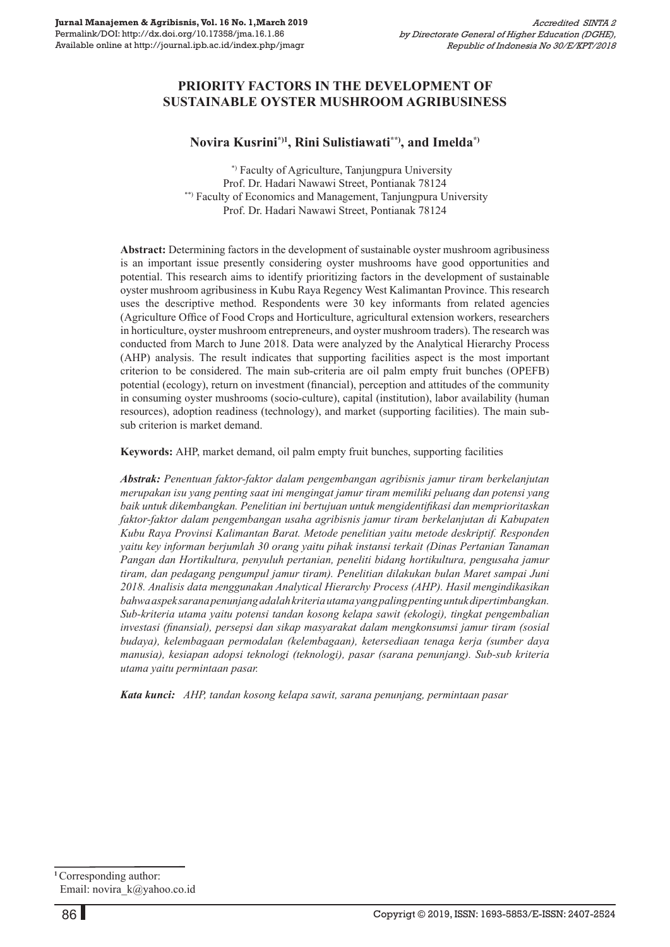## **PrioritY Factors In The Development of Sustainable Oyster Mushroom Agribusiness**

## **Novira Kusrini\*)1, Rini Sulistiawati\*\*), and Imelda\*)**

 \*) Faculty of Agriculture, Tanjungpura University Prof. Dr. Hadari Nawawi Street, Pontianak 78124 \*\*) Faculty of Economics and Management, Tanjungpura University Prof. Dr. Hadari Nawawi Street, Pontianak 78124

**Abstract:** Determining factors in the development of sustainable oyster mushroom agribusiness is an important issue presently considering oyster mushrooms have good opportunities and potential. This research aims to identify prioritizing factors in the development of sustainable oyster mushroom agribusiness in Kubu Raya Regency West Kalimantan Province. This research uses the descriptive method. Respondents were 30 key informants from related agencies (Agriculture Office of Food Crops and Horticulture, agricultural extension workers, researchers in horticulture, oyster mushroom entrepreneurs, and oyster mushroom traders). The research was conducted from March to June 2018. Data were analyzed by the Analytical Hierarchy Process (AHP) analysis. The result indicates that supporting facilities aspect is the most important criterion to be considered. The main sub-criteria are oil palm empty fruit bunches (OPEFB) potential (ecology), return on investment (financial), perception and attitudes of the community in consuming oyster mushrooms (socio-culture), capital (institution), labor availability (human resources), adoption readiness (technology), and market (supporting facilities). The main subsub criterion is market demand.

**Keywords:** AHP, market demand, oil palm empty fruit bunches, supporting facilities

*Abstrak: Penentuan faktor-faktor dalam pengembangan agribisnis jamur tiram berkelanjutan merupakan isu yang penting saat ini mengingat jamur tiram memiliki peluang dan potensi yang baik untuk dikembangkan. Penelitian ini bertujuan untuk mengidentifikasi dan memprioritaskan faktor-faktor dalam pengembangan usaha agribisnis jamur tiram berkelanjutan di Kabupaten Kubu Raya Provinsi Kalimantan Barat. Metode penelitian yaitu metode deskriptif. Responden yaitu key informan berjumlah 30 orang yaitu pihak instansi terkait (Dinas Pertanian Tanaman Pangan dan Hortikultura, penyuluh pertanian, peneliti bidang hortikultura, pengusaha jamur tiram, dan pedagang pengumpul jamur tiram). Penelitian dilakukan bulan Maret sampai Juni 2018. Analisis data menggunakan Analytical Hierarchy Process (AHP). Hasil mengindikasikan bahwa aspek sarana penunjang adalah kriteria utama yang paling penting untuk dipertimbangkan. Sub-kriteria utama yaitu potensi tandan kosong kelapa sawit (ekologi), tingkat pengembalian investasi (finansial), persepsi dan sikap masyarakat dalam mengkonsumsi jamur tiram (sosial budaya), kelembagaan permodalan (kelembagaan), ketersediaan tenaga kerja (sumber daya manusia), kesiapan adopsi teknologi (teknologi), pasar (sarana penunjang). Sub-sub kriteria utama yaitu permintaan pasar.* 

*Kata kunci: AHP, tandan kosong kelapa sawit, sarana penunjang, permintaan pasar*

**<sup>1</sup>**Corresponding author: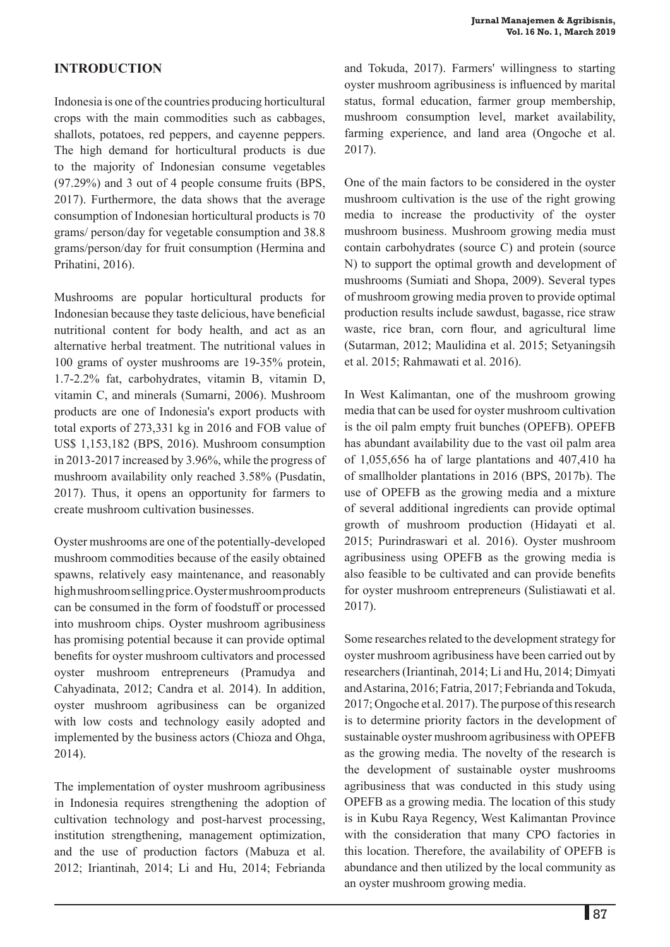## **Introduction**

Indonesia is one of the countries producing horticultural crops with the main commodities such as cabbages, shallots, potatoes, red peppers, and cayenne peppers. The high demand for horticultural products is due to the majority of Indonesian consume vegetables (97.29%) and 3 out of 4 people consume fruits (BPS, 2017). Furthermore, the data shows that the average consumption of Indonesian horticultural products is 70 grams/ person/day for vegetable consumption and 38.8 grams/person/day for fruit consumption (Hermina and Prihatini, 2016).

Mushrooms are popular horticultural products for Indonesian because they taste delicious, have beneficial nutritional content for body health, and act as an alternative herbal treatment. The nutritional values in 100 grams of oyster mushrooms are 19-35% protein, 1.7-2.2% fat, carbohydrates, vitamin B, vitamin D, vitamin C, and minerals (Sumarni, 2006). Mushroom products are one of Indonesia's export products with total exports of 273,331 kg in 2016 and FOB value of US\$ 1,153,182 (BPS, 2016). Mushroom consumption in 2013-2017 increased by 3.96%, while the progress of mushroom availability only reached 3.58% (Pusdatin, 2017). Thus, it opens an opportunity for farmers to create mushroom cultivation businesses.

Oyster mushrooms are one of the potentially-developed mushroom commodities because of the easily obtained spawns, relatively easy maintenance, and reasonably high mushroom selling price. Oyster mushroom products can be consumed in the form of foodstuff or processed into mushroom chips. Oyster mushroom agribusiness has promising potential because it can provide optimal benefits for oyster mushroom cultivators and processed oyster mushroom entrepreneurs (Pramudya and Cahyadinata, 2012; Candra et al. 2014). In addition, oyster mushroom agribusiness can be organized with low costs and technology easily adopted and implemented by the business actors (Chioza and Ohga, 2014).

The implementation of oyster mushroom agribusiness in Indonesia requires strengthening the adoption of cultivation technology and post-harvest processing, institution strengthening, management optimization, and the use of production factors (Mabuza et al. 2012; Iriantinah, 2014; Li and Hu, 2014; Febrianda

and Tokuda, 2017). Farmers' willingness to starting oyster mushroom agribusiness is influenced by marital status, formal education, farmer group membership, mushroom consumption level, market availability, farming experience, and land area (Ongoche et al. 2017).

One of the main factors to be considered in the oyster mushroom cultivation is the use of the right growing media to increase the productivity of the oyster mushroom business. Mushroom growing media must contain carbohydrates (source C) and protein (source N) to support the optimal growth and development of mushrooms (Sumiati and Shopa, 2009). Several types of mushroom growing media proven to provide optimal production results include sawdust, bagasse, rice straw waste, rice bran, corn flour, and agricultural lime (Sutarman, 2012; Maulidina et al. 2015; Setyaningsih et al. 2015; Rahmawati et al. 2016).

In West Kalimantan, one of the mushroom growing media that can be used for oyster mushroom cultivation is the oil palm empty fruit bunches (OPEFB). OPEFB has abundant availability due to the vast oil palm area of 1,055,656 ha of large plantations and 407,410 ha of smallholder plantations in 2016 (BPS, 2017b). The use of OPEFB as the growing media and a mixture of several additional ingredients can provide optimal growth of mushroom production (Hidayati et al. 2015; Purindraswari et al. 2016). Oyster mushroom agribusiness using OPEFB as the growing media is also feasible to be cultivated and can provide benefits for oyster mushroom entrepreneurs (Sulistiawati et al. 2017).

Some researches related to the development strategy for oyster mushroom agribusiness have been carried out by researchers (Iriantinah, 2014; Li and Hu, 2014; Dimyati and Astarina, 2016; Fatria, 2017; Febrianda and Tokuda, 2017; Ongoche et al. 2017). The purpose of this research is to determine priority factors in the development of sustainable oyster mushroom agribusiness with OPEFB as the growing media. The novelty of the research is the development of sustainable oyster mushrooms agribusiness that was conducted in this study using OPEFB as a growing media. The location of this study is in Kubu Raya Regency, West Kalimantan Province with the consideration that many CPO factories in this location. Therefore, the availability of OPEFB is abundance and then utilized by the local community as an oyster mushroom growing media.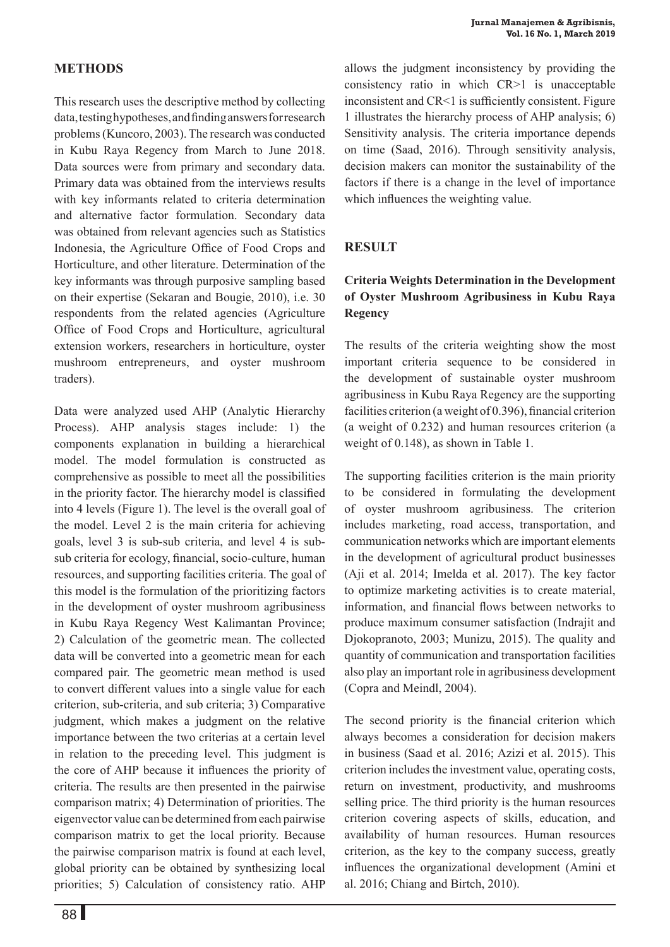## **Methods**

This research uses the descriptive method by collecting data, testing hypotheses, and finding answers for research problems (Kuncoro, 2003). The research was conducted in Kubu Raya Regency from March to June 2018. Data sources were from primary and secondary data. Primary data was obtained from the interviews results with key informants related to criteria determination and alternative factor formulation. Secondary data was obtained from relevant agencies such as Statistics Indonesia, the Agriculture Office of Food Crops and Horticulture, and other literature. Determination of the key informants was through purposive sampling based on their expertise (Sekaran and Bougie, 2010), i.e. 30 respondents from the related agencies (Agriculture Office of Food Crops and Horticulture, agricultural extension workers, researchers in horticulture, oyster mushroom entrepreneurs, and oyster mushroom traders).

Data were analyzed used AHP (Analytic Hierarchy Process). AHP analysis stages include: 1) the components explanation in building a hierarchical model. The model formulation is constructed as comprehensive as possible to meet all the possibilities in the priority factor. The hierarchy model is classified into 4 levels (Figure 1). The level is the overall goal of the model. Level 2 is the main criteria for achieving goals, level 3 is sub-sub criteria, and level 4 is subsub criteria for ecology, financial, socio-culture, human resources, and supporting facilities criteria. The goal of this model is the formulation of the prioritizing factors in the development of oyster mushroom agribusiness in Kubu Raya Regency West Kalimantan Province; 2) Calculation of the geometric mean. The collected data will be converted into a geometric mean for each compared pair. The geometric mean method is used to convert different values into a single value for each criterion, sub-criteria, and sub criteria; 3) Comparative judgment, which makes a judgment on the relative importance between the two criterias at a certain level in relation to the preceding level. This judgment is the core of AHP because it influences the priority of criteria. The results are then presented in the pairwise comparison matrix; 4) Determination of priorities. The eigenvector value can be determined from each pairwise comparison matrix to get the local priority. Because the pairwise comparison matrix is found at each level, global priority can be obtained by synthesizing local priorities; 5) Calculation of consistency ratio. AHP allows the judgment inconsistency by providing the consistency ratio in which CR>1 is unacceptable inconsistent and CR<1 is sufficiently consistent. Figure 1 illustrates the hierarchy process of AHP analysis; 6) Sensitivity analysis. The criteria importance depends on time (Saad, 2016). Through sensitivity analysis, decision makers can monitor the sustainability of the factors if there is a change in the level of importance which influences the weighting value.

# **Result**

# **Criteria Weights Determination in the Development of Oyster Mushroom Agribusiness in Kubu Raya Regency**

The results of the criteria weighting show the most important criteria sequence to be considered in the development of sustainable oyster mushroom agribusiness in Kubu Raya Regency are the supporting facilities criterion (a weight of 0.396), financial criterion (a weight of 0.232) and human resources criterion (a weight of 0.148), as shown in Table 1.

The supporting facilities criterion is the main priority to be considered in formulating the development of oyster mushroom agribusiness. The criterion includes marketing, road access, transportation, and communication networks which are important elements in the development of agricultural product businesses (Aji et al. 2014; Imelda et al. 2017). The key factor to optimize marketing activities is to create material, information, and financial flows between networks to produce maximum consumer satisfaction (Indrajit and Djokopranoto, 2003; Munizu, 2015). The quality and quantity of communication and transportation facilities also play an important role in agribusiness development (Copra and Meindl, 2004).

The second priority is the financial criterion which always becomes a consideration for decision makers in business (Saad et al. 2016; Azizi et al. 2015). This criterion includes the investment value, operating costs, return on investment, productivity, and mushrooms selling price. The third priority is the human resources criterion covering aspects of skills, education, and availability of human resources. Human resources criterion, as the key to the company success, greatly influences the organizational development (Amini et al. 2016; Chiang and Birtch, 2010).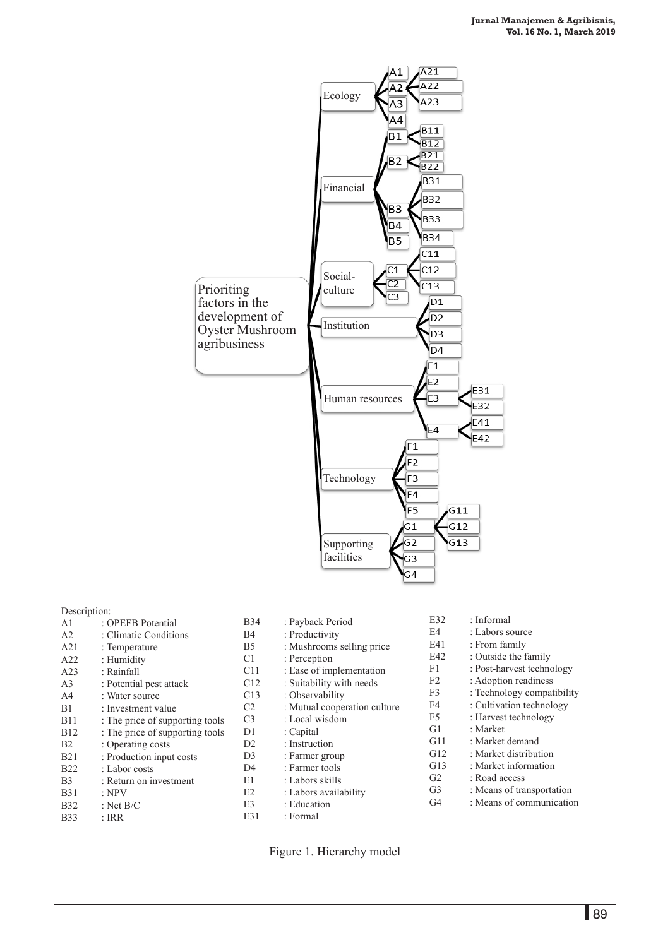

# Description:<br>A $1 \tcdot$

- A1 : OPEFB Potential<br>A2 : Climatic Condition A2 : Climatic Conditions<br>A21 : Temperature : Temperature A22 : Humidity<br>A23 : Rainfall : Rainfall A3 : Potential pest attack<br>A4 : Water source A4 : Water source<br>B1 : Investment va B1 : Investment value<br>B11 : The price of supp B11 : The price of supporting tools<br>B12 : The price of supporting tools : The price of supporting tools B2 : Operating costs B21 : Production input costs B22 : Labor costs<br>B3 : Return on in B3 : Return on investment<br>B31 : NPV B31 : NPV<br>B32 : Net E : Net B/C B33 : IRR
- B34 : Payback Period B4 : Productivity B5 : Mushrooms selling price  $C1$  : Perception<br> $C11$  : Ease of import C11 : Ease of implementation<br>C12 : Suitability with needs C12 : Suitability with needs<br>C13 : Observability C13 : Observability<br>C2 : Mutual coope C2 : Mutual cooperation culture<br>C3 : Local wisdom : Local wisdom D1 : Capital<br>D2 : Instruct D2 : Instruction<br>D3 : Farmer gro D3 : Farmer group<br>D4 : Farmer tools D4 : Farmer tools<br>E1 : Labors skills : Labors skills E2 : Labors availability E3 : Education
- E32 : Informal<br>E4 : Labors so : Labors source E41 : From family<br>E42 : Outside the f : Outside the family F1 : Post-harvest technology F2 : Adoption readiness<br>F3 : Technology compatible : Technology compatibility F4 : Cultivation technology F5 : Harvest technology G1 : Market G11 : Market demand G12 : Market distribution G13 : Market information G2 : Road access G3 : Means of transportation
- G4 : Means of communication
- Figure 1. Hierarchy model

E31 : Formal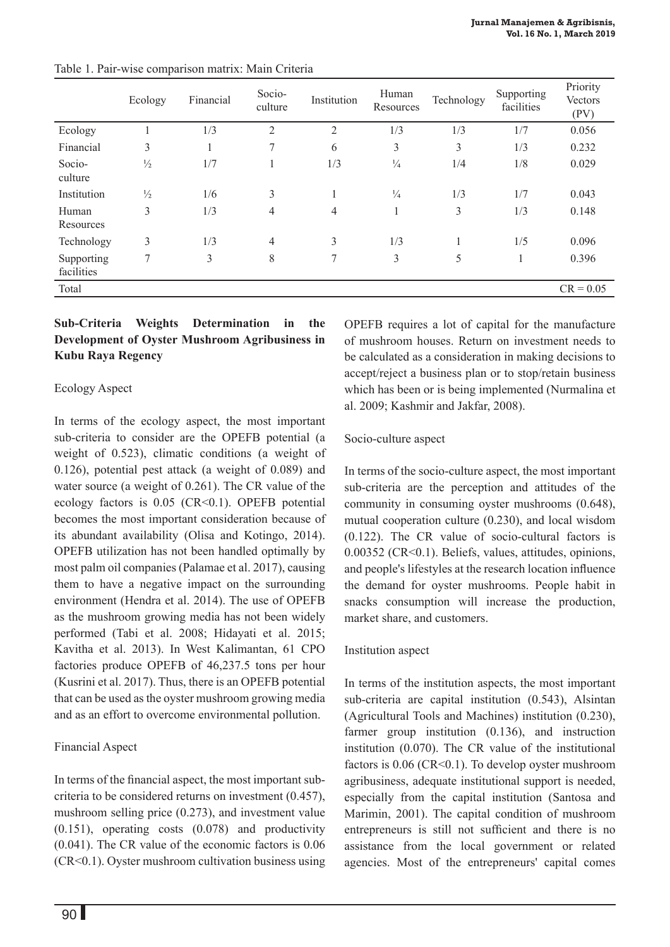|                          | Ecology       | Financial | Socio-<br>culture | Institution    | Human<br>Resources | Technology | Supporting<br>facilities | Priority<br>Vectors<br>(PV) |
|--------------------------|---------------|-----------|-------------------|----------------|--------------------|------------|--------------------------|-----------------------------|
| Ecology                  |               | 1/3       | $\overline{2}$    | $\mathfrak{2}$ | 1/3                | 1/3        | 1/7                      | 0.056                       |
| Financial                | 3             |           | $\tau$            | 6              | 3                  | 3          | 1/3                      | 0.232                       |
| Socio-<br>culture        | $\frac{1}{2}$ | 1/7       |                   | 1/3            | $\frac{1}{4}$      | 1/4        | 1/8                      | 0.029                       |
| Institution              | $\frac{1}{2}$ | 1/6       | 3                 | 1              | $\frac{1}{4}$      | 1/3        | 1/7                      | 0.043                       |
| Human<br>Resources       | 3             | 1/3       | 4                 | $\overline{4}$ | $\mathbf{1}$<br>L. | 3          | 1/3                      | 0.148                       |
| Technology               | 3             | 1/3       | 4                 | $\overline{3}$ | 1/3                |            | 1/5                      | 0.096                       |
| Supporting<br>facilities | 7             | 3         | 8                 | 7              | 3                  | 5          | $\mathbf{1}$             | 0.396                       |
| Total                    |               |           |                   |                |                    |            |                          | $CR = 0.05$                 |

Table 1. Pair-wise comparison matrix: Main Criteria

## **Sub-Criteria Weights Determination in the Development of Oyster Mushroom Agribusiness in Kubu Raya Regency**

# Ecology Aspect

In terms of the ecology aspect, the most important sub-criteria to consider are the OPEFB potential (a weight of 0.523), climatic conditions (a weight of 0.126), potential pest attack (a weight of 0.089) and water source (a weight of 0.261). The CR value of the ecology factors is 0.05 (CR<0.1). OPEFB potential becomes the most important consideration because of its abundant availability (Olisa and Kotingo, 2014). OPEFB utilization has not been handled optimally by most palm oil companies (Palamae et al. 2017), causing them to have a negative impact on the surrounding environment (Hendra et al. 2014). The use of OPEFB as the mushroom growing media has not been widely performed (Tabi et al. 2008; Hidayati et al. 2015; Kavitha et al. 2013). In West Kalimantan, 61 CPO factories produce OPEFB of 46,237.5 tons per hour (Kusrini et al. 2017). Thus, there is an OPEFB potential that can be used as the oyster mushroom growing media and as an effort to overcome environmental pollution.

# Financial Aspect

In terms of the financial aspect, the most important subcriteria to be considered returns on investment (0.457), mushroom selling price (0.273), and investment value (0.151), operating costs (0.078) and productivity (0.041). The CR value of the economic factors is 0.06 (CR<0.1). Oyster mushroom cultivation business using OPEFB requires a lot of capital for the manufacture of mushroom houses. Return on investment needs to be calculated as a consideration in making decisions to accept/reject a business plan or to stop/retain business which has been or is being implemented (Nurmalina et al. 2009; Kashmir and Jakfar, 2008).

## Socio-culture aspect

In terms of the socio-culture aspect, the most important sub-criteria are the perception and attitudes of the community in consuming oyster mushrooms (0.648), mutual cooperation culture (0.230), and local wisdom (0.122). The CR value of socio-cultural factors is 0.00352 (CR<0.1). Beliefs, values, attitudes, opinions, and people's lifestyles at the research location influence the demand for oyster mushrooms. People habit in snacks consumption will increase the production, market share, and customers.

# Institution aspect

In terms of the institution aspects, the most important sub-criteria are capital institution (0.543), Alsintan (Agricultural Tools and Machines) institution (0.230), farmer group institution  $(0.136)$ , and instruction institution (0.070). The CR value of the institutional factors is  $0.06$  (CR<0.1). To develop oyster mushroom agribusiness, adequate institutional support is needed, especially from the capital institution (Santosa and Marimin, 2001). The capital condition of mushroom entrepreneurs is still not sufficient and there is no assistance from the local government or related agencies. Most of the entrepreneurs' capital comes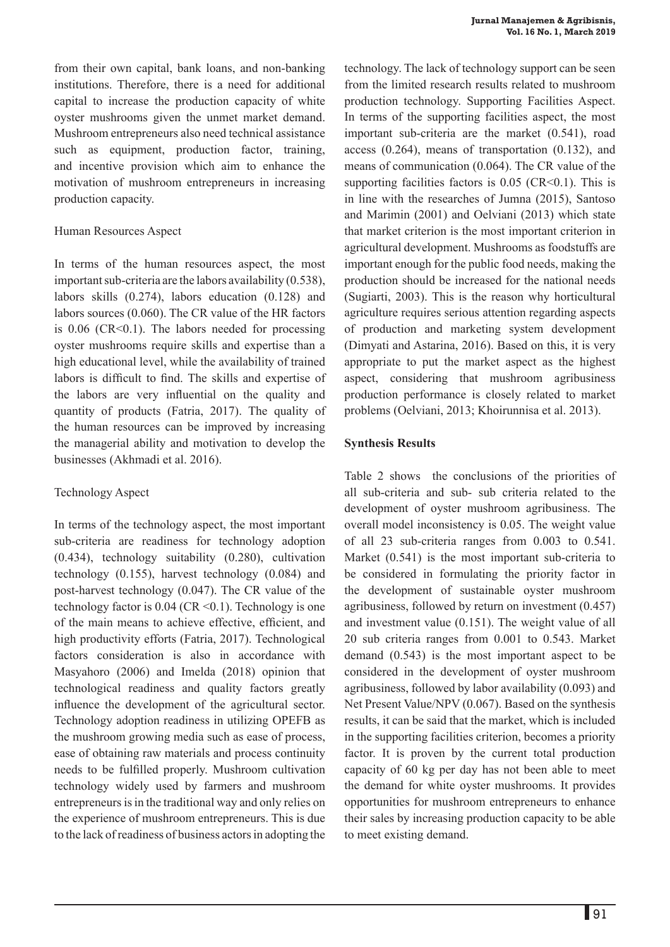from their own capital, bank loans, and non-banking institutions. Therefore, there is a need for additional capital to increase the production capacity of white oyster mushrooms given the unmet market demand. Mushroom entrepreneurs also need technical assistance such as equipment, production factor, training, and incentive provision which aim to enhance the motivation of mushroom entrepreneurs in increasing production capacity.

#### Human Resources Aspect

In terms of the human resources aspect, the most important sub-criteria are the labors availability (0.538), labors skills (0.274), labors education (0.128) and labors sources (0.060). The CR value of the HR factors is  $0.06$  (CR<0.1). The labors needed for processing oyster mushrooms require skills and expertise than a high educational level, while the availability of trained labors is difficult to find. The skills and expertise of the labors are very influential on the quality and quantity of products (Fatria, 2017). The quality of the human resources can be improved by increasing the managerial ability and motivation to develop the businesses (Akhmadi et al. 2016).

## Technology Aspect

In terms of the technology aspect, the most important sub-criteria are readiness for technology adoption (0.434), technology suitability (0.280), cultivation technology (0.155), harvest technology (0.084) and post-harvest technology (0.047). The CR value of the technology factor is  $0.04$  (CR < 0.1). Technology is one of the main means to achieve effective, efficient, and high productivity efforts (Fatria, 2017). Technological factors consideration is also in accordance with Masyahoro (2006) and Imelda (2018) opinion that technological readiness and quality factors greatly influence the development of the agricultural sector. Technology adoption readiness in utilizing OPEFB as the mushroom growing media such as ease of process, ease of obtaining raw materials and process continuity needs to be fulfilled properly. Mushroom cultivation technology widely used by farmers and mushroom entrepreneurs is in the traditional way and only relies on the experience of mushroom entrepreneurs. This is due to the lack of readiness of business actors in adopting the technology. The lack of technology support can be seen from the limited research results related to mushroom production technology. Supporting Facilities Aspect. In terms of the supporting facilities aspect, the most important sub-criteria are the market (0.541), road access (0.264), means of transportation (0.132), and means of communication (0.064). The CR value of the supporting facilities factors is  $0.05$  (CR<0.1). This is in line with the researches of Jumna (2015), Santoso and Marimin (2001) and Oelviani (2013) which state that market criterion is the most important criterion in agricultural development. Mushrooms as foodstuffs are important enough for the public food needs, making the production should be increased for the national needs (Sugiarti, 2003). This is the reason why horticultural agriculture requires serious attention regarding aspects of production and marketing system development (Dimyati and Astarina, 2016). Based on this, it is very appropriate to put the market aspect as the highest aspect, considering that mushroom agribusiness production performance is closely related to market problems (Oelviani, 2013; Khoirunnisa et al. 2013).

## **Synthesis Results**

Table 2 shows the conclusions of the priorities of all sub-criteria and sub- sub criteria related to the development of oyster mushroom agribusiness. The overall model inconsistency is 0.05. The weight value of all 23 sub-criteria ranges from 0.003 to 0.541. Market (0.541) is the most important sub-criteria to be considered in formulating the priority factor in the development of sustainable oyster mushroom agribusiness, followed by return on investment (0.457) and investment value (0.151). The weight value of all 20 sub criteria ranges from 0.001 to 0.543. Market demand (0.543) is the most important aspect to be considered in the development of oyster mushroom agribusiness, followed by labor availability (0.093) and Net Present Value/NPV (0.067). Based on the synthesis results, it can be said that the market, which is included in the supporting facilities criterion, becomes a priority factor. It is proven by the current total production capacity of 60 kg per day has not been able to meet the demand for white oyster mushrooms. It provides opportunities for mushroom entrepreneurs to enhance their sales by increasing production capacity to be able to meet existing demand.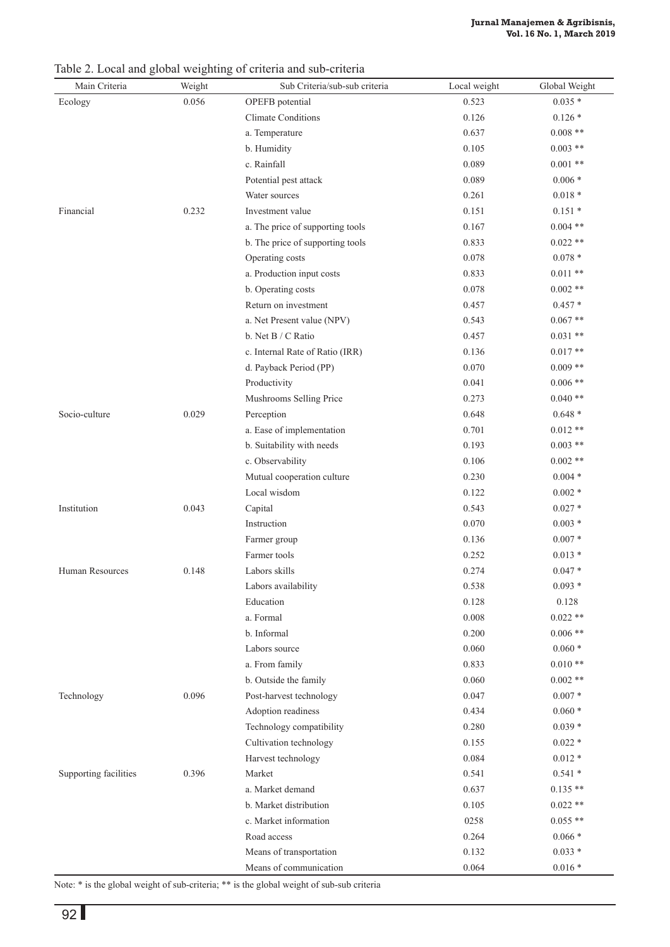Main Criteria Weight Sub Criteria/sub-sub criteria Local weight Global Weight Ecology 0.056 OPEFB potential 0.523 0.035  $*$ Climate Conditions 0.126 \* 0.126 \* a. Temperature 0.637 0.008 \*\* b. Humidity 0.105 0.003 \*\* c. Rainfall 0.089 0.001 \*\* Potential pest attack 0.089 0.006 \* Water sources 0.261 0.018 \* Financial 0.232 Investment value 0.151  $\frac{0.151 \times 0.151}{0.151 \times 0.151}$  0.151 a. The price of supporting tools 0.167 0.004 \*\* b. The price of supporting tools  $0.833$  0.022 \*\* Operating costs  $0.078$  \*  $0.078$  \* a. Production input costs 0.833 0.011 \*\* b. Operating costs 0.078 0.002 \*\* Return on investment  $0.457$   $0.457$   $*$ a. Net Present value (NPV) 0.543 0.067 \*\* b. Net B / C Ratio 0.457 0.031 \*\* c. Internal Rate of Ratio (IRR)  $0.136$  0.017 \*\* d. Payback Period (PP) 0.070 0.009 \*\* Productivity 0.006 \*\* 0.006 \*\* Mushrooms Selling Price 0.273 0.040 \*\* Socio-culture 0.029 Perception 0.648 0.648 0.648 0.648 0.648 0.648 0.648 0.648 0.648 0.648 0.648 0.648 0.648 0.648 0.648 0.648 0.648 0.648 0.648 0.648 0.648 0.648 0.648 0.648 0.648 0.648 0.648 0.648 0.648 0.648 0.648 0.648 a. Ease of implementation  $0.701$   $0.012$  \*\* b. Suitability with needs  $0.193$   $0.003$  \*\* c. Observability  $0.106$   $0.002$ \*\* Mutual cooperation culture 0.230 0.004 \* Local wisdom  $0.122$   $0.002$  \* Institution 0.043 Capital 0.543 0.027 \* Instruction 0.070 0.003 \* Farmer group 0.136 0.007 \* Farmer tools 0.252 0.013 \* Human Resources 0.148 Labors skills 0.274 0.047 \* Labors availability 0.538 0.093 \* Education 0.128 0.128 a. Formal 0.008 0.022 \*\* b. Informal 0.200 0.006 \*\* Labors source  $0.060 \times 0.060^*$ a. From family 0.833 0.010 \*\* b. Outside the family  $0.060$  0.002 \*\* Technology 0.096 Post-harvest technology 0.047 0.007 \* Adoption readiness 0.434 0.060 \* Technology compatibility 0.280 0.039 \* Cultivation technology 0.155 0.022 \* Harvest technology 0.084 0.012 \* Supporting facilities 0.396 Market 0.541 0.541 0.541 0.541 0.541 0.541 0.541 0.541 0.541 0.541 0.541 0.541 0.541 0.541 0.541 0.541 0.541 0.541 0.541 0.541 0.541 0.541 0.541 0.541 0.541 0.541 0.541 0.541 0.541 0.541 0.541 0 a. Market demand 0.637 0.135 \*\* b. Market distribution 0.105 0.022 \*\* c. Market information  $0.055$  \*\* Road access 0.264 0.066 \* Means of transportation 0.132 0.033 \* Means of communication 0.064 0.016 \*

Table 2. Local and global weighting of criteria and sub-criteria

Note: \* is the global weight of sub-criteria; \*\* is the global weight of sub-sub criteria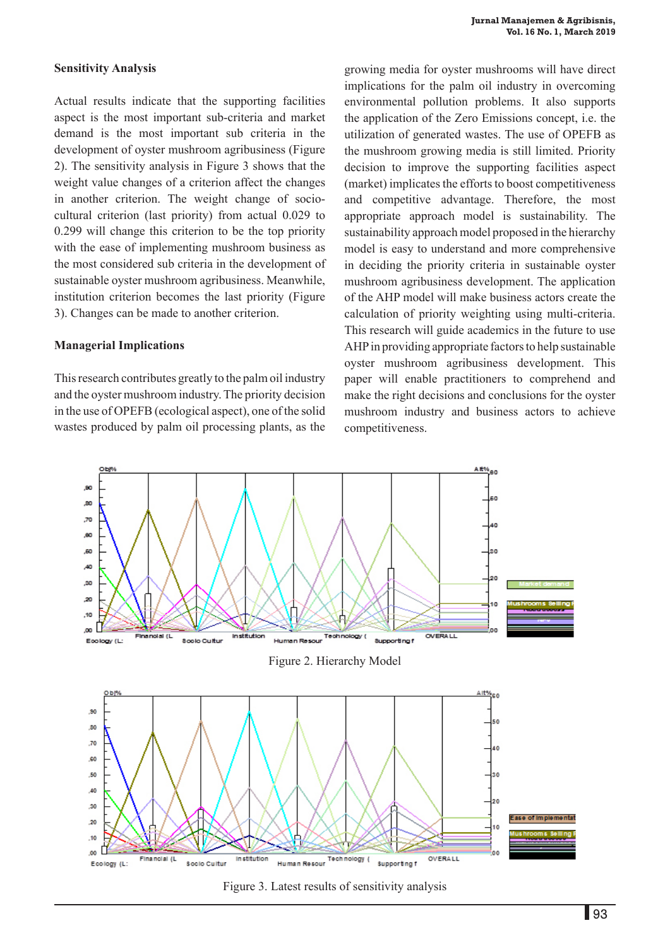#### **Sensitivity Analysis**

Actual results indicate that the supporting facilities aspect is the most important sub-criteria and market demand is the most important sub criteria in the development of oyster mushroom agribusiness (Figure 2). The sensitivity analysis in Figure 3 shows that the weight value changes of a criterion affect the changes in another criterion. The weight change of sociocultural criterion (last priority) from actual 0.029 to 0.299 will change this criterion to be the top priority with the ease of implementing mushroom business as the most considered sub criteria in the development of sustainable oyster mushroom agribusiness. Meanwhile, institution criterion becomes the last priority (Figure 3). Changes can be made to another criterion.

#### **Managerial Implications**

This research contributes greatly to the palm oil industry and the oyster mushroom industry. The priority decision in the use of OPEFB (ecological aspect), one of the solid wastes produced by palm oil processing plants, as the

growing media for oyster mushrooms will have direct implications for the palm oil industry in overcoming environmental pollution problems. It also supports the application of the Zero Emissions concept, i.e. the utilization of generated wastes. The use of OPEFB as the mushroom growing media is still limited. Priority decision to improve the supporting facilities aspect (market) implicates the efforts to boost competitiveness and competitive advantage. Therefore, the most appropriate approach model is sustainability. The sustainability approach model proposed in the hierarchy model is easy to understand and more comprehensive in deciding the priority criteria in sustainable oyster mushroom agribusiness development. The application of the AHP model will make business actors create the calculation of priority weighting using multi-criteria. This research will guide academics in the future to use AHP in providing appropriate factors to help sustainable oyster mushroom agribusiness development. This paper will enable practitioners to comprehend and make the right decisions and conclusions for the oyster mushroom industry and business actors to achieve competitiveness.



Figure 3. Latest results of sensitivity analysis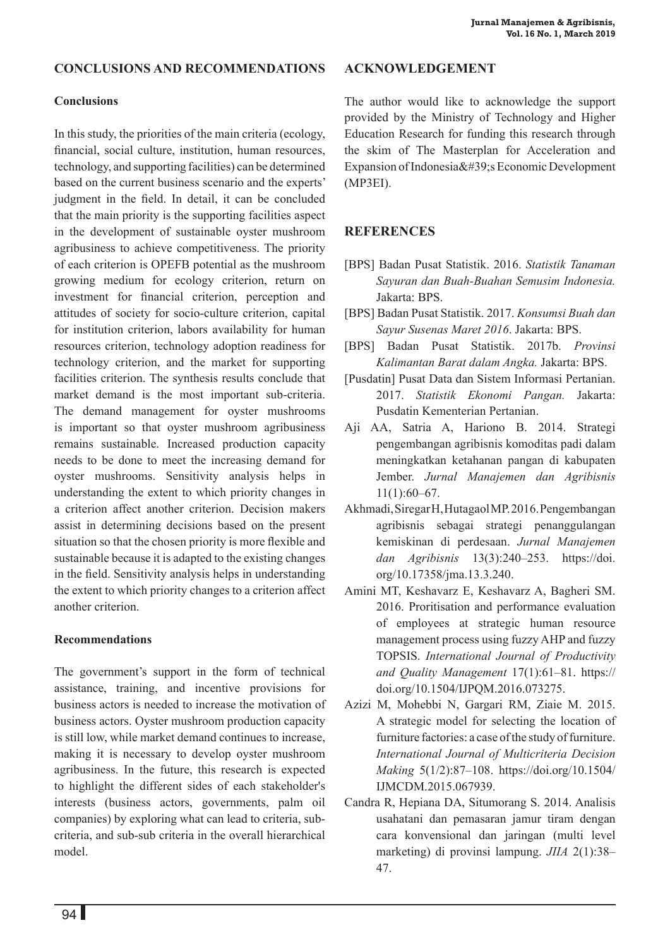## **conclusions and recommendations**

#### **Conclusions**

In this study, the priorities of the main criteria (ecology, financial, social culture, institution, human resources, technology, and supporting facilities) can be determined based on the current business scenario and the experts' judgment in the field. In detail, it can be concluded that the main priority is the supporting facilities aspect in the development of sustainable oyster mushroom agribusiness to achieve competitiveness. The priority of each criterion is OPEFB potential as the mushroom growing medium for ecology criterion, return on investment for financial criterion, perception and attitudes of society for socio-culture criterion, capital for institution criterion, labors availability for human resources criterion, technology adoption readiness for technology criterion, and the market for supporting facilities criterion. The synthesis results conclude that market demand is the most important sub-criteria. The demand management for oyster mushrooms is important so that oyster mushroom agribusiness remains sustainable. Increased production capacity needs to be done to meet the increasing demand for oyster mushrooms. Sensitivity analysis helps in understanding the extent to which priority changes in a criterion affect another criterion. Decision makers assist in determining decisions based on the present situation so that the chosen priority is more flexible and sustainable because it is adapted to the existing changes in the field. Sensitivity analysis helps in understanding the extent to which priority changes to a criterion affect another criterion.

## **Recommendations**

The government's support in the form of technical assistance, training, and incentive provisions for business actors is needed to increase the motivation of business actors. Oyster mushroom production capacity is still low, while market demand continues to increase, making it is necessary to develop oyster mushroom agribusiness. In the future, this research is expected to highlight the different sides of each stakeholder's interests (business actors, governments, palm oil companies) by exploring what can lead to criteria, subcriteria, and sub-sub criteria in the overall hierarchical model.

## **ACKNOWLEDGEMENT**

The author would like to acknowledge the support provided by the Ministry of Technology and Higher Education Research for funding this research through the skim of The Masterplan for Acceleration and Expansion of Indonesia $&\#39$ ; Economic Development (MP3EI).

## **REFERENCES**

- [BPS] Badan Pusat Statistik. 2016. *Statistik Tanaman Sayuran dan Buah-Buahan Semusim Indonesia.* Jakarta: BPS.
- [BPS] Badan Pusat Statistik. 2017. *Konsumsi Buah dan Sayur Susenas Maret 2016*. Jakarta: BPS.
- [BPS] Badan Pusat Statistik. 2017b. *Provinsi Kalimantan Barat dalam Angka.* Jakarta: BPS.
- [Pusdatin] Pusat Data dan Sistem Informasi Pertanian. 2017. *Statistik Ekonomi Pangan.* Jakarta: Pusdatin Kementerian Pertanian.
- Aji AA, Satria A, Hariono B. 2014. Strategi pengembangan agribisnis komoditas padi dalam meningkatkan ketahanan pangan di kabupaten Jember. *Jurnal Manajemen dan Agribisnis*  11(1):60–67.
- Akhmadi, Siregar H, Hutagaol MP. 2016. Pengembangan agribisnis sebagai strategi penanggulangan kemiskinan di perdesaan. *Jurnal Manajemen dan Agribisnis* 13(3):240–253. https://doi. org/10.17358/jma.13.3.240.
- Amini MT, Keshavarz E, Keshavarz A, Bagheri SM. 2016. Proritisation and performance evaluation of employees at strategic human resource management process using fuzzy AHP and fuzzy TOPSIS. *International Journal of Productivity and Quality Management* 17(1):61–81. https:// doi.org/10.1504/IJPQM.2016.073275.
- Azizi M, Mohebbi N, Gargari RM, Ziaie M. 2015. A strategic model for selecting the location of furniture factories: a case of the study of furniture. *International Journal of Multicriteria Decision Making* 5(1/2):87–108. https://doi.org/10.1504/ IJMCDM.2015.067939.
- Candra R, Hepiana DA, Situmorang S. 2014. Analisis usahatani dan pemasaran jamur tiram dengan cara konvensional dan jaringan (multi level marketing) di provinsi lampung. *JIIA* 2(1):38– 47.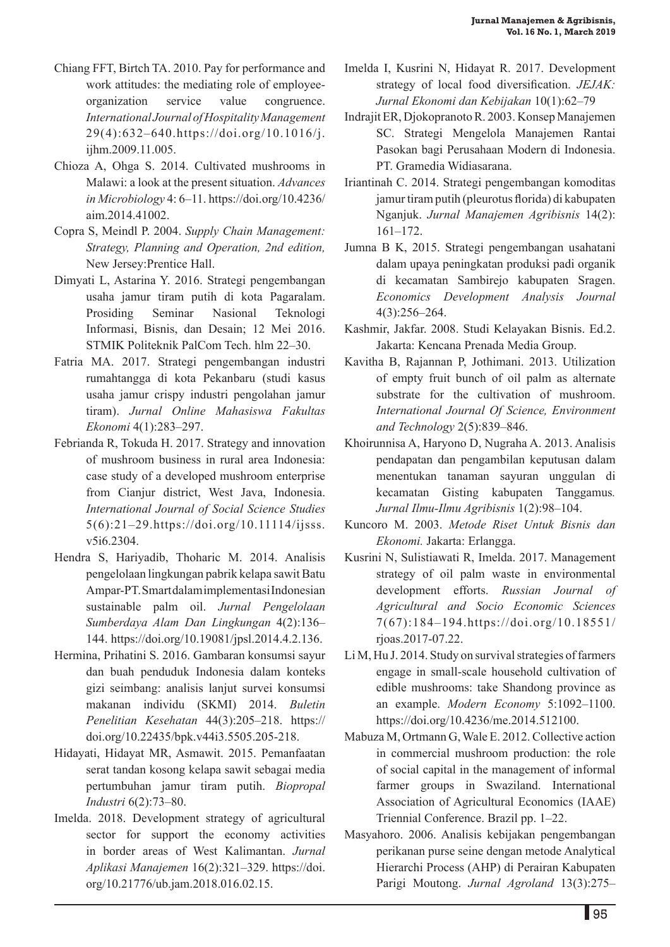- Chiang FFT, Birtch TA. 2010. Pay for performance and work attitudes: the mediating role of employeeorganization service value congruence. *International Journal of Hospitality Management*  29(4):632–640.https://doi.org/10.1016/j. ijhm.2009.11.005.
- Chioza A, Ohga S. 2014. Cultivated mushrooms in Malawi: a look at the present situation. *Advances in Microbiology* 4: 6–11. https://doi.org/10.4236/ aim.2014.41002.
- Copra S, Meindl P. 2004. *Supply Chain Management: Strategy, Planning and Operation, 2nd edition,*  New Jersey:Prentice Hall.
- Dimyati L, Astarina Y. 2016. Strategi pengembangan usaha jamur tiram putih di kota Pagaralam. Prosiding Seminar Nasional Teknologi Informasi, Bisnis, dan Desain; 12 Mei 2016. STMIK Politeknik PalCom Tech. hlm 22–30.
- Fatria MA. 2017. Strategi pengembangan industri rumahtangga di kota Pekanbaru (studi kasus usaha jamur crispy industri pengolahan jamur tiram). *Jurnal Online Mahasiswa Fakultas Ekonomi* 4(1):283–297.
- Febrianda R, Tokuda H. 2017. Strategy and innovation of mushroom business in rural area Indonesia: case study of a developed mushroom enterprise from Cianjur district, West Java, Indonesia. *International Journal of Social Science Studies*  5(6):21–29.https://doi.org/10.11114/ijsss. v5i6.2304.
- Hendra S, Hariyadib, Thoharic M. 2014. Analisis pengelolaan lingkungan pabrik kelapa sawit Batu Ampar-PT. Smart dalam implementasi Indonesian sustainable palm oil. *Jurnal Pengelolaan Sumberdaya Alam Dan Lingkungan* 4(2):136– 144. https://doi.org/10.19081/jpsl.2014.4.2.136.
- Hermina, Prihatini S. 2016. Gambaran konsumsi sayur dan buah penduduk Indonesia dalam konteks gizi seimbang: analisis lanjut survei konsumsi makanan individu (SKMI) 2014. *Buletin Penelitian Kesehatan* 44(3):205–218. https:// doi.org/10.22435/bpk.v44i3.5505.205-218.
- Hidayati, Hidayat MR, Asmawit. 2015. Pemanfaatan serat tandan kosong kelapa sawit sebagai media pertumbuhan jamur tiram putih. *Biopropal Industri* 6(2):73–80.
- Imelda. 2018. Development strategy of agricultural sector for support the economy activities in border areas of West Kalimantan. *Jurnal Aplikasi Manajemen* 16(2):321–329. https://doi. org/10.21776/ub.jam.2018.016.02.15.
- Imelda I, Kusrini N, Hidayat R. 2017. Development strategy of local food diversification. *JEJAK: Jurnal Ekonomi dan Kebijakan* 10(1):62–79
- Indrajit ER, Djokopranoto R. 2003. Konsep Manajemen SC. Strategi Mengelola Manajemen Rantai Pasokan bagi Perusahaan Modern di Indonesia. PT. Gramedia Widiasarana.
- Iriantinah C. 2014. Strategi pengembangan komoditas jamur tiram putih (pleurotus florida) di kabupaten Nganjuk. *Jurnal Manajemen Agribisnis* 14(2): 161–172.
- Jumna B K, 2015. Strategi pengembangan usahatani dalam upaya peningkatan produksi padi organik di kecamatan Sambirejo kabupaten Sragen. *Economics Development Analysis Journal*  4(3):256–264.
- Kashmir, Jakfar. 2008. Studi Kelayakan Bisnis. Ed.2. Jakarta: Kencana Prenada Media Group.
- Kavitha B, Rajannan P, Jothimani. 2013. Utilization of empty fruit bunch of oil palm as alternate substrate for the cultivation of mushroom. *International Journal Of Science, Environment and Technology* 2(5):839–846.
- Khoirunnisa A, Haryono D, Nugraha A. 2013. Analisis pendapatan dan pengambilan keputusan dalam menentukan tanaman sayuran unggulan di kecamatan Gisting kabupaten Tanggamus*. Jurnal Ilmu-Ilmu Agribisnis* 1(2):98–104.
- Kuncoro M. 2003. *Metode Riset Untuk Bisnis dan Ekonomi.* Jakarta: Erlangga.
- Kusrini N, Sulistiawati R, Imelda. 2017. Management strategy of oil palm waste in environmental development efforts. *Russian Journal of Agricultural and Socio Economic Sciences* 7(67):184–194.https://doi.org/10.18551/ rjoas.2017-07.22.
- Li M, Hu J. 2014. Study on survival strategies of farmers engage in small-scale household cultivation of edible mushrooms: take Shandong province as an example. *Modern Economy* 5:1092–1100. https://doi.org/10.4236/me.2014.512100.
- Mabuza M, Ortmann G, Wale E. 2012. Collective action in commercial mushroom production: the role of social capital in the management of informal farmer groups in Swaziland. International Association of Agricultural Economics (IAAE) Triennial Conference. Brazil pp. 1–22.
- Masyahoro. 2006. Analisis kebijakan pengembangan perikanan purse seine dengan metode Analytical Hierarchi Process (AHP) di Perairan Kabupaten Parigi Moutong. *Jurnal Agroland* 13(3):275–